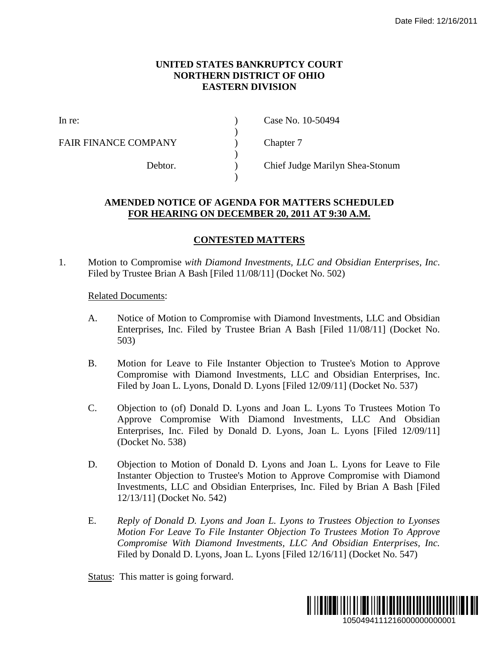## **UNITED STATES BANKRUPTCY COURT NORTHERN DISTRICT OF OHIO EASTERN DIVISION**

)

 $\mathcal{L}$ 

)

FAIR FINANCE COMPANY (a) Chapter 7

In re: (a) Case No. 10-50494

Debtor. ) Chief Judge Marilyn Shea-Stonum

## **AMENDED NOTICE OF AGENDA FOR MATTERS SCHEDULED FOR HEARING ON DECEMBER 20, 2011 AT 9:30 A.M.**

## **CONTESTED MATTERS**

1. Motion to Compromise *with Diamond Investments, LLC and Obsidian Enterprises, Inc*. Filed by Trustee Brian A Bash [Filed 11/08/11] (Docket No. 502)

## Related Documents:

- A. Notice of Motion to Compromise with Diamond Investments, LLC and Obsidian Enterprises, Inc. Filed by Trustee Brian A Bash [Filed 11/08/11] (Docket No. 503)
- B. Motion for Leave to File Instanter Objection to Trustee's Motion to Approve Compromise with Diamond Investments, LLC and Obsidian Enterprises, Inc. Filed by Joan L. Lyons, Donald D. Lyons [Filed 12/09/11] (Docket No. 537)
- C. Objection to (of) Donald D. Lyons and Joan L. Lyons To Trustees Motion To Approve Compromise With Diamond Investments, LLC And Obsidian Enterprises, Inc. Filed by Donald D. Lyons, Joan L. Lyons [Filed 12/09/11] (Docket No. 538) 1050494111216000000000001 Date Filed: 12/16/2011
- D. Objection to Motion of Donald D. Lyons and Joan L. Lyons for Leave to File Instanter Objection to Trustee's Motion to Approve Compromise with Diamond Investments, LLC and Obsidian Enterprises, Inc. Filed by Brian A Bash [Filed 12/13/11] (Docket No. 542)
- E. *Reply of Donald D. Lyons and Joan L. Lyons to Trustees Objection to Lyonses Motion For Leave To File Instanter Objection To Trustees Motion To Approve Compromise With Diamond Investments, LLC And Obsidian Enterprises, Inc.* Filed by Donald D. Lyons, Joan L. Lyons [Filed 12/16/11] (Docket No. 547)

Status: This matter is going forward.